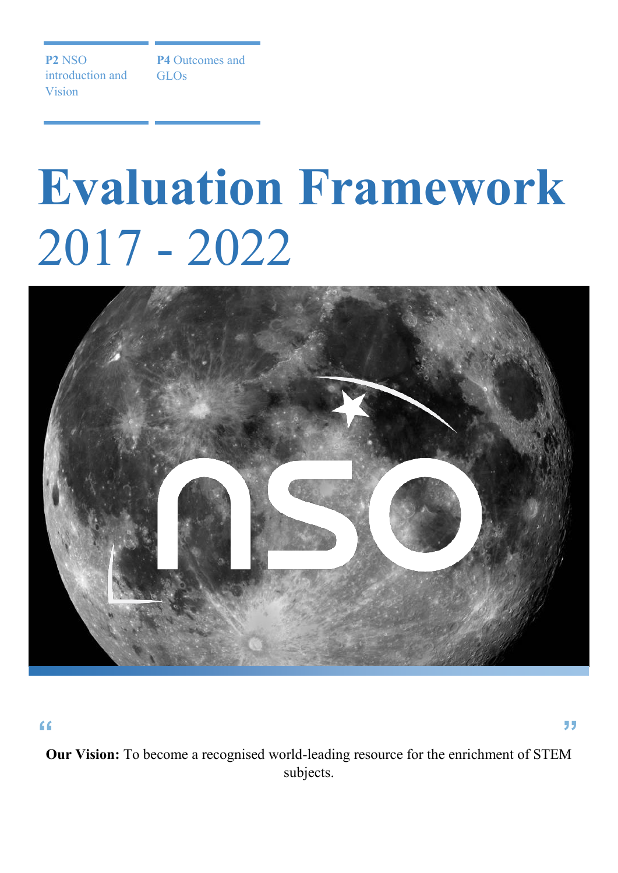**P2** NSO introduction and Vision

**P4** Outcomes and GLOs

## **Evaluation Framework** 2017 - 2022



**Our Vision:** To become a recognised world-leading resource for the enrichment of STEM subjects. **" "**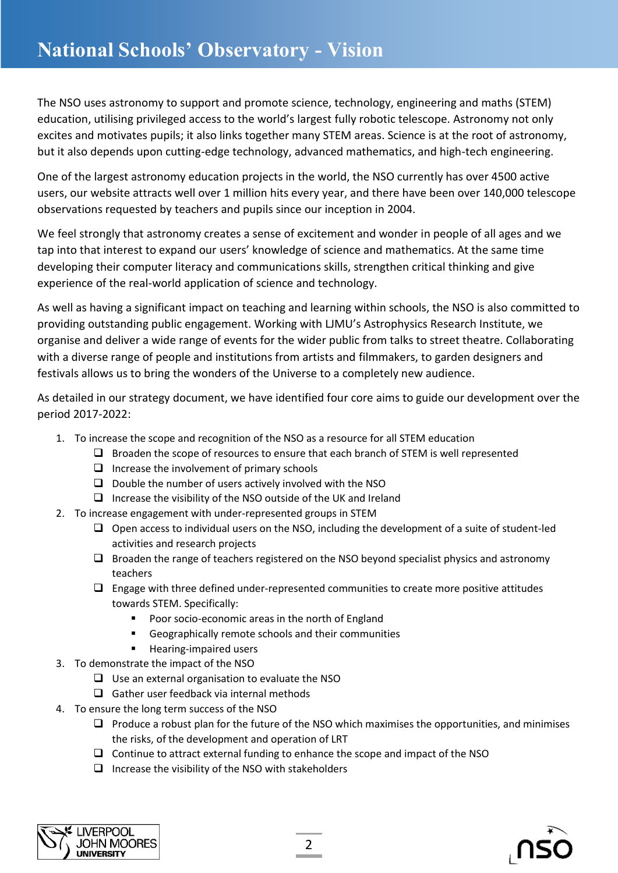The NSO uses astronomy to support and promote science, technology, engineering and maths (STEM) education, utilising privileged access to the world's largest fully robotic telescope. Astronomy not only excites and motivates pupils; it also links together many STEM areas. Science is at the root of astronomy, but it also depends upon cutting-edge technology, advanced mathematics, and high-tech engineering.

One of the largest astronomy education projects in the world, the NSO currently has over 4500 active users, our website attracts well over 1 million hits every year, and there have been over 140,000 telescope observations requested by teachers and pupils since our inception in 2004.

We feel strongly that astronomy creates a sense of excitement and wonder in people of all ages and we tap into that interest to expand our users' knowledge of science and mathematics. At the same time developing their computer literacy and communications skills, strengthen critical thinking and give experience of the real-world application of science and technology.

As well as having a significant impact on teaching and learning within schools, the NSO is also committed to providing outstanding public engagement. Working with LJMU's Astrophysics Research Institute, we organise and deliver a wide range of events for the wider public from talks to street theatre. Collaborating with a diverse range of people and institutions from artists and filmmakers, to garden designers and festivals allows us to bring the wonders of the Universe to a completely new audience.

As detailed in our strategy document, we have identified four core aims to guide our development over the period 2017-2022:

- 1. To increase the scope and recognition of the NSO as a resource for all STEM education
	- $\Box$  Broaden the scope of resources to ensure that each branch of STEM is well represented
	- $\Box$  Increase the involvement of primary schools
	- $\Box$  Double the number of users actively involved with the NSO
	- $\Box$  Increase the visibility of the NSO outside of the UK and Ireland
- 2. To increase engagement with under-represented groups in STEM
	- $\Box$  Open access to individual users on the NSO, including the development of a suite of student-led activities and research projects
	- $\Box$  Broaden the range of teachers registered on the NSO beyond specialist physics and astronomy teachers
	- $\Box$  Engage with three defined under-represented communities to create more positive attitudes towards STEM. Specifically:
		- **Poor socio-economic areas in the north of England**
		- Geographically remote schools and their communities
		- **Hearing-impaired users**
- 3. To demonstrate the impact of the NSO
	- $\Box$  Use an external organisation to evaluate the NSO
	- $\Box$  Gather user feedback via internal methods
- 4. To ensure the long term success of the NSO
	- $\Box$  Produce a robust plan for the future of the NSO which maximises the opportunities, and minimises the risks, of the development and operation of LRT
	- $\Box$  Continue to attract external funding to enhance the scope and impact of the NSO
	- $\Box$  Increase the visibility of the NSO with stakeholders



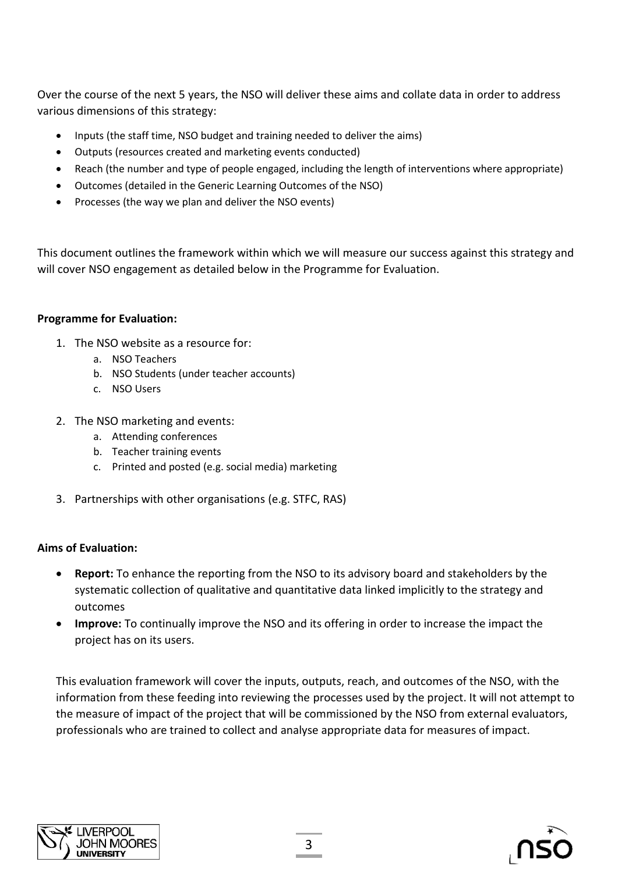Over the course of the next 5 years, the NSO will deliver these aims and collate data in order to address various dimensions of this strategy:

- Inputs (the staff time, NSO budget and training needed to deliver the aims)
- Outputs (resources created and marketing events conducted)
- Reach (the number and type of people engaged, including the length of interventions where appropriate)
- Outcomes (detailed in the Generic Learning Outcomes of the NSO)
- Processes (the way we plan and deliver the NSO events)

This document outlines the framework within which we will measure our success against this strategy and will cover NSO engagement as detailed below in the Programme for Evaluation.

## **Programme for Evaluation:**

- 1. The NSO website as a resource for:
	- a. NSO Teachers
	- b. NSO Students (under teacher accounts)
	- c. NSO Users
- 2. The NSO marketing and events:
	- a. Attending conferences
	- b. Teacher training events
	- c. Printed and posted (e.g. social media) marketing
- 3. Partnerships with other organisations (e.g. STFC, RAS)

## **Aims of Evaluation:**

- **Report:** To enhance the reporting from the NSO to its advisory board and stakeholders by the systematic collection of qualitative and quantitative data linked implicitly to the strategy and outcomes
- **Improve:** To continually improve the NSO and its offering in order to increase the impact the project has on its users.

This evaluation framework will cover the inputs, outputs, reach, and outcomes of the NSO, with the information from these feeding into reviewing the processes used by the project. It will not attempt to the measure of impact of the project that will be commissioned by the NSO from external evaluators, professionals who are trained to collect and analyse appropriate data for measures of impact.